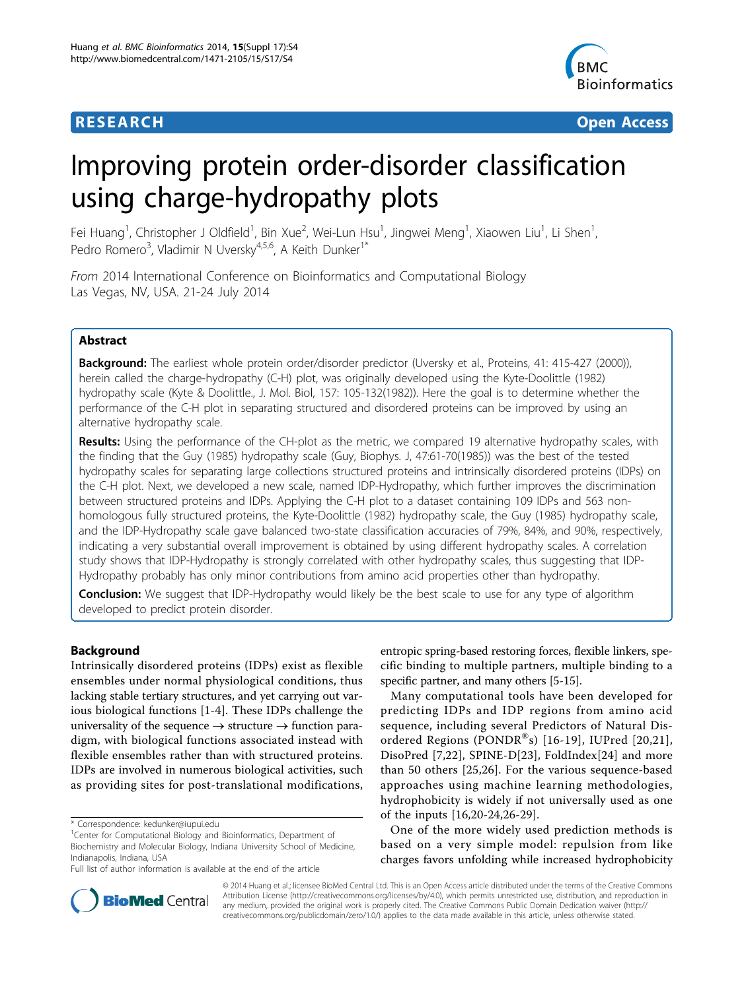

**RESEARCH CONTROL** CONTROL CONTROL CONTROL CONTROL CONTROL CONTROL CONTROL CONTROL CONTROL CONTROL CONTROL CONTROL CONTROL CONTROL CONTROL CONTROL CONTROL CONTROL CONTROL CONTROL CONTROL CONTROL CONTROL CONTROL CONTROL CON

# Improving protein order-disorder classification using charge-hydropathy plots

Fei Huang<sup>1</sup>, Christopher J Oldfield<sup>1</sup>, Bin Xue<sup>2</sup>, Wei-Lun Hsu<sup>1</sup>, Jingwei Meng<sup>1</sup>, Xiaowen Liu<sup>1</sup>, Li Shen<sup>1</sup> , Pedro Romero<sup>3</sup>, Vladimir N Uversky<sup>4,5,6</sup>, A Keith Dunker<sup>1\*</sup>

From 2014 International Conference on Bioinformatics and Computational Biology Las Vegas, NV, USA. 21-24 July 2014

## Abstract

**Background:** The earliest whole protein order/disorder predictor (Uversky et al., Proteins, 41: 415-427 (2000)), herein called the charge-hydropathy (C-H) plot, was originally developed using the Kyte-Doolittle (1982) hydropathy scale (Kyte & Doolittle., J. Mol. Biol, 157: 105-132(1982)). Here the goal is to determine whether the performance of the C-H plot in separating structured and disordered proteins can be improved by using an alternative hydropathy scale.

Results: Using the performance of the CH-plot as the metric, we compared 19 alternative hydropathy scales, with the finding that the Guy (1985) hydropathy scale (Guy, Biophys. J, 47:61-70(1985)) was the best of the tested hydropathy scales for separating large collections structured proteins and intrinsically disordered proteins (IDPs) on the C-H plot. Next, we developed a new scale, named IDP-Hydropathy, which further improves the discrimination between structured proteins and IDPs. Applying the C-H plot to a dataset containing 109 IDPs and 563 nonhomologous fully structured proteins, the Kyte-Doolittle (1982) hydropathy scale, the Guy (1985) hydropathy scale, and the IDP-Hydropathy scale gave balanced two-state classification accuracies of 79%, 84%, and 90%, respectively, indicating a very substantial overall improvement is obtained by using different hydropathy scales. A correlation study shows that IDP-Hydropathy is strongly correlated with other hydropathy scales, thus suggesting that IDP-Hydropathy probably has only minor contributions from amino acid properties other than hydropathy.

**Conclusion:** We suggest that IDP-Hydropathy would likely be the best scale to use for any type of algorithm developed to predict protein disorder.

## Background

Intrinsically disordered proteins (IDPs) exist as flexible ensembles under normal physiological conditions, thus lacking stable tertiary structures, and yet carrying out various biological functions [[1-4](#page-10-0)]. These IDPs challenge the universality of the sequence  $\rightarrow$  structure  $\rightarrow$  function paradigm, with biological functions associated instead with flexible ensembles rather than with structured proteins. IDPs are involved in numerous biological activities, such as providing sites for post-translational modifications,

entropic spring-based restoring forces, flexible linkers, specific binding to multiple partners, multiple binding to a specific partner, and many others [\[5-15\]](#page-10-0).

Many computational tools have been developed for predicting IDPs and IDP regions from amino acid sequence, including several Predictors of Natural Dis-ordered Regions (PONDR<sup>®</sup>s) [[16](#page-10-0)-[19\]](#page-11-0), IUPred [[20](#page-11-0),[21\]](#page-11-0), DisoPred [[7,](#page-10-0)[22\]](#page-11-0), SPINE-D[\[23](#page-11-0)], FoldIndex[[24\]](#page-11-0) and more than 50 others [\[25,26\]](#page-11-0). For the various sequence-based approaches using machine learning methodologies, hydrophobicity is widely if not universally used as one of the inputs [[16,](#page-10-0)[20](#page-11-0)-[24,26-29](#page-11-0)].

One of the more widely used prediction methods is based on a very simple model: repulsion from like charges favors unfolding while increased hydrophobicity



© 2014 Huang et al.; licensee BioMed Central Ltd. This is an Open Access article distributed under the terms of the Creative Commons Attribution License [\(http://creativecommons.org/licenses/by/4.0](http://creativecommons.org/licenses/by/4.0)), which permits unrestricted use, distribution, and reproduction in any medium, provided the original work is properly cited. The Creative Commons Public Domain Dedication waiver [\(http://](http://creativecommons.org/publicdomain/zero/1.0/) [creativecommons.org/publicdomain/zero/1.0/](http://creativecommons.org/publicdomain/zero/1.0/)) applies to the data made available in this article, unless otherwise stated.

<sup>\*</sup> Correspondence: [kedunker@iupui.edu](mailto:kedunker@iupui.edu)

<sup>&</sup>lt;sup>1</sup>Center for Computational Biology and Bioinformatics, Department of Biochemistry and Molecular Biology, Indiana University School of Medicine, Indianapolis, Indiana, USA

Full list of author information is available at the end of the article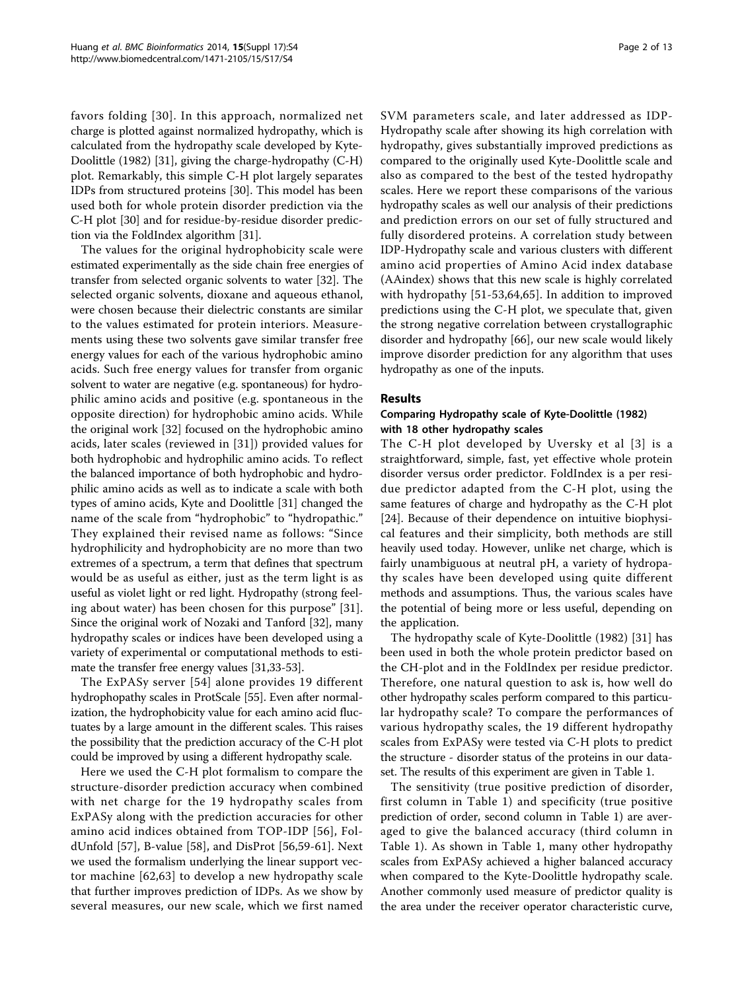favors folding [[30](#page-11-0)]. In this approach, normalized net charge is plotted against normalized hydropathy, which is calculated from the hydropathy scale developed by Kyte-Doolittle (1982) [[31\]](#page-11-0), giving the charge-hydropathy (C-H) plot. Remarkably, this simple C-H plot largely separates IDPs from structured proteins [[30\]](#page-11-0). This model has been used both for whole protein disorder prediction via the C-H plot [\[30\]](#page-11-0) and for residue-by-residue disorder prediction via the FoldIndex algorithm [\[31\]](#page-11-0).

The values for the original hydrophobicity scale were estimated experimentally as the side chain free energies of transfer from selected organic solvents to water [\[32](#page-11-0)]. The selected organic solvents, dioxane and aqueous ethanol, were chosen because their dielectric constants are similar to the values estimated for protein interiors. Measurements using these two solvents gave similar transfer free energy values for each of the various hydrophobic amino acids. Such free energy values for transfer from organic solvent to water are negative (e.g. spontaneous) for hydrophilic amino acids and positive (e.g. spontaneous in the opposite direction) for hydrophobic amino acids. While the original work [\[32](#page-11-0)] focused on the hydrophobic amino acids, later scales (reviewed in [[31](#page-11-0)]) provided values for both hydrophobic and hydrophilic amino acids. To reflect the balanced importance of both hydrophobic and hydrophilic amino acids as well as to indicate a scale with both types of amino acids, Kyte and Doolittle [\[31](#page-11-0)] changed the name of the scale from "hydrophobic" to "hydropathic." They explained their revised name as follows: "Since hydrophilicity and hydrophobicity are no more than two extremes of a spectrum, a term that defines that spectrum would be as useful as either, just as the term light is as useful as violet light or red light. Hydropathy (strong feeling about water) has been chosen for this purpose" [\[31](#page-11-0)]. Since the original work of Nozaki and Tanford [[32](#page-11-0)], many hydropathy scales or indices have been developed using a variety of experimental or computational methods to estimate the transfer free energy values [\[31,33](#page-11-0)-[53](#page-11-0)].

The ExPASy server [[54\]](#page-11-0) alone provides 19 different hydrophopathy scales in ProtScale [\[55\]](#page-11-0). Even after normalization, the hydrophobicity value for each amino acid fluctuates by a large amount in the different scales. This raises the possibility that the prediction accuracy of the C-H plot could be improved by using a different hydropathy scale.

Here we used the C-H plot formalism to compare the structure-disorder prediction accuracy when combined with net charge for the 19 hydropathy scales from ExPASy along with the prediction accuracies for other amino acid indices obtained from TOP-IDP [[56](#page-11-0)], FoldUnfold [[57\]](#page-11-0), B-value [\[58](#page-11-0)], and DisProt [\[56](#page-11-0),[59-61](#page-11-0)]. Next we used the formalism underlying the linear support vector machine [[62,63](#page-11-0)] to develop a new hydropathy scale that further improves prediction of IDPs. As we show by several measures, our new scale, which we first named

SVM parameters scale, and later addressed as IDP-Hydropathy scale after showing its high correlation with hydropathy, gives substantially improved predictions as compared to the originally used Kyte-Doolittle scale and also as compared to the best of the tested hydropathy scales. Here we report these comparisons of the various hydropathy scales as well our analysis of their predictions and prediction errors on our set of fully structured and fully disordered proteins. A correlation study between IDP-Hydropathy scale and various clusters with different amino acid properties of Amino Acid index database (AAindex) shows that this new scale is highly correlated with hydropathy [[51](#page-11-0)-[53,64](#page-11-0),[65\]](#page-11-0). In addition to improved predictions using the C-H plot, we speculate that, given the strong negative correlation between crystallographic disorder and hydropathy [[66\]](#page-11-0), our new scale would likely improve disorder prediction for any algorithm that uses hydropathy as one of the inputs.

### Results

### Comparing Hydropathy scale of Kyte-Doolittle (1982) with 18 other hydropathy scales

The C-H plot developed by Uversky et al [[3\]](#page-10-0) is a straightforward, simple, fast, yet effective whole protein disorder versus order predictor. FoldIndex is a per residue predictor adapted from the C-H plot, using the same features of charge and hydropathy as the C-H plot [[24\]](#page-11-0). Because of their dependence on intuitive biophysical features and their simplicity, both methods are still heavily used today. However, unlike net charge, which is fairly unambiguous at neutral pH, a variety of hydropathy scales have been developed using quite different methods and assumptions. Thus, the various scales have the potential of being more or less useful, depending on the application.

The hydropathy scale of Kyte-Doolittle (1982) [[31\]](#page-11-0) has been used in both the whole protein predictor based on the CH-plot and in the FoldIndex per residue predictor. Therefore, one natural question to ask is, how well do other hydropathy scales perform compared to this particular hydropathy scale? To compare the performances of various hydropathy scales, the 19 different hydropathy scales from ExPASy were tested via C-H plots to predict the structure - disorder status of the proteins in our dataset. The results of this experiment are given in Table [1.](#page-2-0)

The sensitivity (true positive prediction of disorder, first column in Table [1](#page-2-0)) and specificity (true positive prediction of order, second column in Table [1](#page-2-0)) are averaged to give the balanced accuracy (third column in Table [1\)](#page-2-0). As shown in Table [1,](#page-2-0) many other hydropathy scales from ExPASy achieved a higher balanced accuracy when compared to the Kyte-Doolittle hydropathy scale. Another commonly used measure of predictor quality is the area under the receiver operator characteristic curve,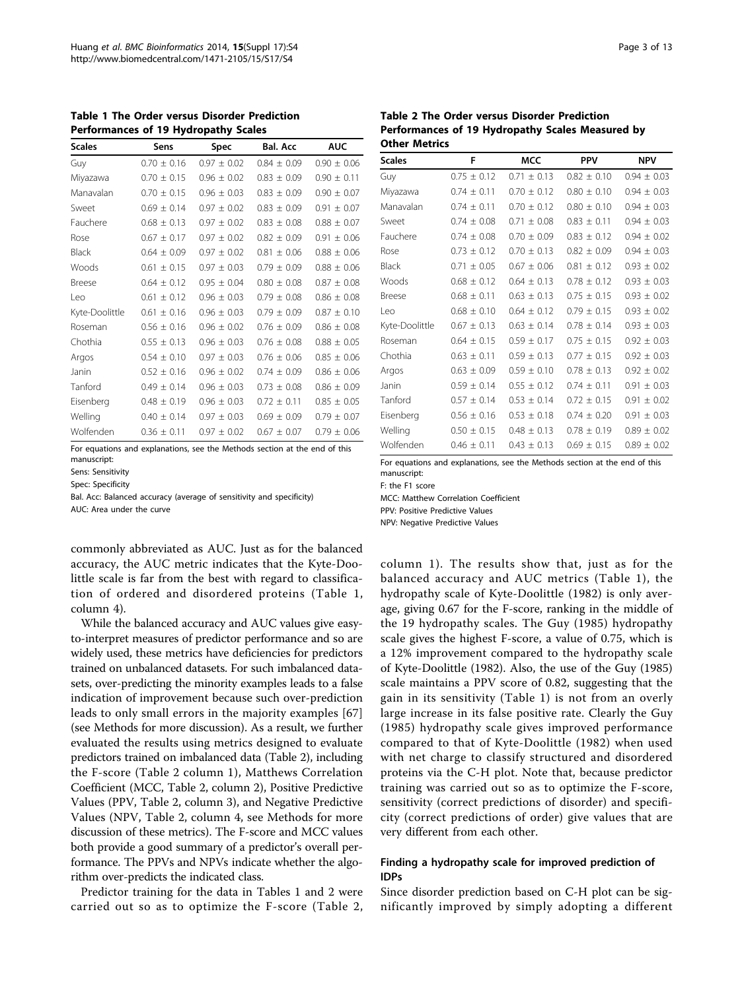<span id="page-2-0"></span>Table 1 The Order versus Disorder Prediction Performances of 19 Hydropathy Scales

| <b>Scales</b>  | Sens            | Spec            | <b>Bal. Acc</b> | <b>AUC</b>      |
|----------------|-----------------|-----------------|-----------------|-----------------|
| Guy            | $0.70 + 0.16$   | $0.97 + 0.02$   | $0.84 + 0.09$   | $0.90 + 0.06$   |
| Miyazawa       | $0.70 \pm 0.15$ | $0.96 \pm 0.02$ | $0.83 \pm 0.09$ | $0.90 \pm 0.11$ |
| Manavalan      | $0.70 \pm 0.15$ | $0.96 \pm 0.03$ | $0.83 \pm 0.09$ | $0.90 \pm 0.07$ |
| Sweet          | $0.69 \pm 0.14$ | $0.97 \pm 0.02$ | $0.83 \pm 0.09$ | $0.91 \pm 0.07$ |
| Fauchere       | $0.68 \pm 0.13$ | $0.97 + 0.02$   | $0.83 + 0.08$   | $0.88 + 0.07$   |
| Rose           | $0.67 \pm 0.17$ | $0.97 \pm 0.02$ | $0.82 \pm 0.09$ | $0.91 \pm 0.06$ |
| Black          | $0.64 \pm 0.09$ | $0.97 \pm 0.02$ | $0.81 \pm 0.06$ | $0.88 \pm 0.06$ |
| Woods          | $0.61 \pm 0.15$ | $0.97 \pm 0.03$ | $0.79 \pm 0.09$ | $0.88 \pm 0.06$ |
| <b>Breese</b>  | $0.64 \pm 0.12$ | $0.95 \pm 0.04$ | $0.80 \pm 0.08$ | $0.87 \pm 0.08$ |
| Leo            | $0.61 \pm 0.12$ | $0.96 + 0.03$   | $0.79 \pm 0.08$ | $0.86 + 0.08$   |
| Kyte-Doolittle | $0.61 + 0.16$   | $0.96 + 0.03$   | $0.79 + 0.09$   | $0.87 + 0.10$   |
| Roseman        | $0.56 + 0.16$   | $0.96 + 0.02$   | $0.76 + 0.09$   | $0.86 + 0.08$   |
| Chothia        | $0.55 \pm 0.13$ | $0.96 \pm 0.03$ | $0.76 \pm 0.08$ | $0.88 \pm 0.05$ |
| Argos          | $0.54 \pm 0.10$ | $0.97 \pm 0.03$ | $0.76 \pm 0.06$ | $0.85 \pm 0.06$ |
| Janin          | $0.52 \pm 0.16$ | $0.96 \pm 0.02$ | $0.74 \pm 0.09$ | $0.86 \pm 0.06$ |
| Tanford        | $0.49 \pm 0.14$ | $0.96 \pm 0.03$ | $0.73 \pm 0.08$ | $0.86 \pm 0.09$ |
| Eisenberg      | $0.48 \pm 0.19$ | $0.96 \pm 0.03$ | $0.72 + 0.11$   | $0.85 \pm 0.05$ |
| Welling        | $0.40 \pm 0.14$ | $0.97 \pm 0.03$ | $0.69 \pm 0.09$ | $0.79 \pm 0.07$ |
| Wolfenden      | $0.36 \pm 0.11$ | $0.97 \pm 0.02$ | $0.67 \pm 0.07$ | $0.79 \pm 0.06$ |

For equations and explanations, see the Methods section at the end of this

manuscript:

Sens: Sensitivity Spec: Specificity

Bal. Acc: Balanced accuracy (average of sensitivity and specificity)

AUC: Area under the curve

commonly abbreviated as AUC. Just as for the balanced accuracy, the AUC metric indicates that the Kyte-Doolittle scale is far from the best with regard to classification of ordered and disordered proteins (Table 1, column 4).

While the balanced accuracy and AUC values give easyto-interpret measures of predictor performance and so are widely used, these metrics have deficiencies for predictors trained on unbalanced datasets. For such imbalanced datasets, over-predicting the minority examples leads to a false indication of improvement because such over-prediction leads to only small errors in the majority examples [\[67](#page-11-0)] (see Methods for more discussion). As a result, we further evaluated the results using metrics designed to evaluate predictors trained on imbalanced data (Table 2), including the F-score (Table 2 column 1), Matthews Correlation Coefficient (MCC, Table 2, column 2), Positive Predictive Values (PPV, Table 2, column 3), and Negative Predictive Values (NPV, Table 2, column 4, see Methods for more discussion of these metrics). The F-score and MCC values both provide a good summary of a predictor's overall performance. The PPVs and NPVs indicate whether the algorithm over-predicts the indicated class.

Predictor training for the data in Tables 1 and 2 were carried out so as to optimize the F-score (Table 2,

Table 2 The Order versus Disorder Prediction Performances of 19 Hydropathy Scales Measured by Other Metrics

| <b>Scales</b>  | F               | <b>MCC</b>      | <b>PPV</b>      | <b>NPV</b>      |
|----------------|-----------------|-----------------|-----------------|-----------------|
| Guy            | $0.75 \pm 0.12$ | $0.71 + 0.13$   | $0.82 + 0.10$   | $0.94 \pm 0.03$ |
| Miyazawa       | $0.74 \pm 0.11$ | $0.70 \pm 0.12$ | $0.80 \pm 0.10$ | $0.94 \pm 0.03$ |
| Manavalan      | $0.74 \pm 0.11$ | $0.70 \pm 0.12$ | $0.80 \pm 0.10$ | $0.94 \pm 0.03$ |
| Sweet          | $0.74 \pm 0.08$ | $0.71 \pm 0.08$ | $0.83 \pm 0.11$ | $0.94 \pm 0.03$ |
| Fauchere       | $0.74 \pm 0.08$ | $0.70 \pm 0.09$ | $0.83 \pm 0.12$ | $0.94 \pm 0.02$ |
| Rose           | $0.73 + 0.12$   | $0.70 + 0.13$   | $0.82 + 0.09$   | $0.94 \pm 0.03$ |
| <b>Black</b>   | $0.71 \pm 0.05$ | $0.67 \pm 0.06$ | $0.81 \pm 0.12$ | $0.93 \pm 0.02$ |
| Woods          | $0.68 \pm 0.12$ | $0.64 \pm 0.13$ | $0.78 + 0.12$   | $0.93 \pm 0.03$ |
| Breese         | $0.68 \pm 0.11$ | $0.63 \pm 0.13$ | $0.75 \pm 0.15$ | $0.93 \pm 0.02$ |
| Leo            | $0.68 \pm 0.10$ | $0.64 \pm 0.12$ | $0.79 \pm 0.15$ | $0.93 \pm 0.02$ |
| Kyte-Doolittle | $0.67 \pm 0.13$ | $0.63 \pm 0.14$ | $0.78 \pm 0.14$ | $0.93 \pm 0.03$ |
| Roseman        | $0.64 \pm 0.15$ | $0.59 \pm 0.17$ | $0.75 \pm 0.15$ | $0.92 \pm 0.03$ |
| Chothia        | $0.63 \pm 0.11$ | $0.59 \pm 0.13$ | $0.77 \pm 0.15$ | $0.92 \pm 0.03$ |
| Argos          | $0.63 \pm 0.09$ | $0.59 \pm 0.10$ | $0.78 \pm 0.13$ | $0.92 \pm 0.02$ |
| Janin          | $0.59 \pm 0.14$ | $0.55 \pm 0.12$ | $0.74 \pm 0.11$ | $0.91 \pm 0.03$ |
| Tanford        | $0.57 \pm 0.14$ | $0.53 \pm 0.14$ | $0.72 \pm 0.15$ | $0.91 \pm 0.02$ |
| Eisenberg      | $0.56 \pm 0.16$ | $0.53 \pm 0.18$ | $0.74 \pm 0.20$ | $0.91 \pm 0.03$ |
| Welling        | $0.50 \pm 0.15$ | $0.48 \pm 0.13$ | $0.78 \pm 0.19$ | $0.89 \pm 0.02$ |
| Wolfenden      | $0.46 \pm 0.11$ | $0.43 \pm 0.13$ | $0.69 \pm 0.15$ | $0.89 \pm 0.02$ |

For equations and explanations, see the Methods section at the end of this manuscript:

F: the F1 score

MCC: Matthew Correlation Coefficient PPV: Positive Predictive Values

NPV: Negative Predictive Values

column 1). The results show that, just as for the balanced accuracy and AUC metrics (Table 1), the hydropathy scale of Kyte-Doolittle (1982) is only average, giving 0.67 for the F-score, ranking in the middle of the 19 hydropathy scales. The Guy (1985) hydropathy scale gives the highest F-score, a value of 0.75, which is a 12% improvement compared to the hydropathy scale of Kyte-Doolittle (1982). Also, the use of the Guy (1985) scale maintains a PPV score of 0.82, suggesting that the gain in its sensitivity (Table 1) is not from an overly large increase in its false positive rate. Clearly the Guy (1985) hydropathy scale gives improved performance compared to that of Kyte-Doolittle (1982) when used with net charge to classify structured and disordered proteins via the C-H plot. Note that, because predictor training was carried out so as to optimize the F-score, sensitivity (correct predictions of disorder) and specificity (correct predictions of order) give values that are very different from each other.

## Finding a hydropathy scale for improved prediction of IDPs

Since disorder prediction based on C-H plot can be significantly improved by simply adopting a different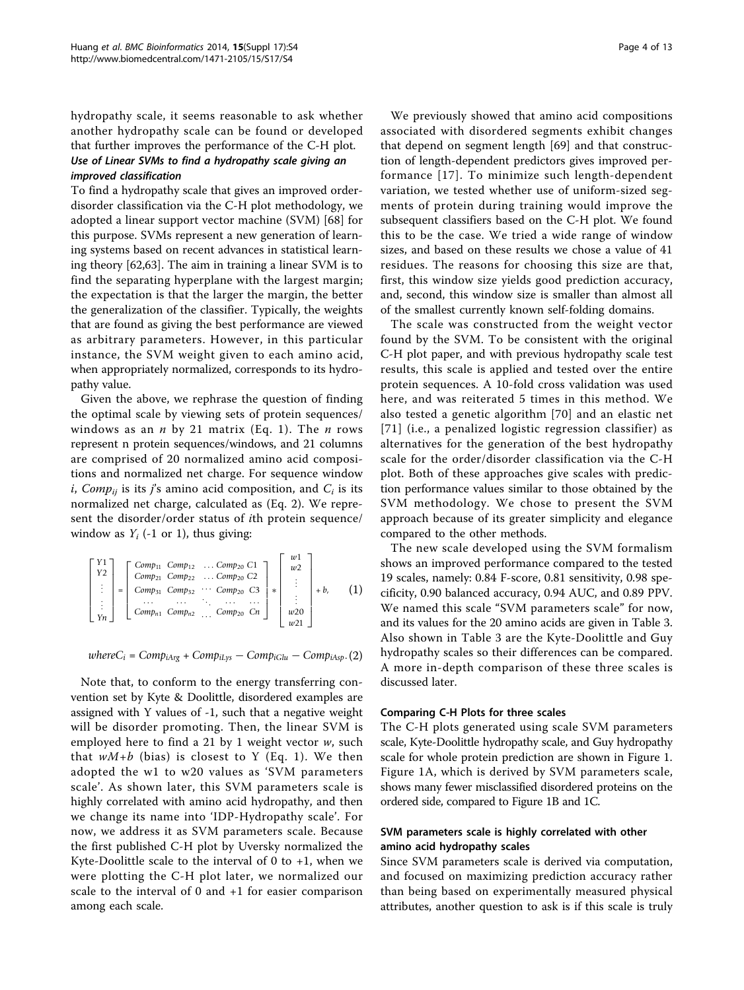hydropathy scale, it seems reasonable to ask whether another hydropathy scale can be found or developed that further improves the performance of the C-H plot. Use of Linear SVMs to find a hydropathy scale giving an improved classification

To find a hydropathy scale that gives an improved orderdisorder classification via the C-H plot methodology, we adopted a linear support vector machine (SVM) [[68\]](#page-11-0) for this purpose. SVMs represent a new generation of learning systems based on recent advances in statistical learning theory [\[62,63\]](#page-11-0). The aim in training a linear SVM is to find the separating hyperplane with the largest margin; the expectation is that the larger the margin, the better the generalization of the classifier. Typically, the weights that are found as giving the best performance are viewed as arbitrary parameters. However, in this particular instance, the SVM weight given to each amino acid, when appropriately normalized, corresponds to its hydropathy value.

Given the above, we rephrase the question of finding the optimal scale by viewing sets of protein sequences/ windows as an  $n$  by 21 matrix (Eq. 1). The  $n$  rows represent n protein sequences/windows, and 21 columns are comprised of 20 normalized amino acid compositions and normalized net charge. For sequence window i, Comp<sub>ij</sub> is its j's amino acid composition, and  $C_i$  is its normalized net charge, calculated as (Eq. 2). We represent the disorder/order status of ith protein sequence/ window as  $Y_i$  (-1 or 1), thus giving:

$$
\begin{bmatrix} Y1 \\ Y2 \\ \vdots \\ Yn \end{bmatrix} = \begin{bmatrix} Comp_{11} & Comp_{12} & \dots & Comp_{20} & C1 \\ Comp_{21} & Comp_{22} & \dots & Comp_{20} & C2 \\ Comp_{31} & Comp_{32} & \dots & Comp_{20} & C3 \\ \vdots & \vdots & \ddots & \vdots & \vdots \\ Comp_{n1} & Comp_{n2} & \dots & Comp_{20} & Cn \end{bmatrix} * \begin{bmatrix} w1 \\ w2 \\ \vdots \\ \vdots \\ w20 \\ w21 \end{bmatrix} + b, \qquad (1)
$$

 $whereC_i = Comp_{iArg} + Comp_{iLys} - Comp_{iGlu} - Comp_{iAsp}.$  (2)

Note that, to conform to the energy transferring convention set by Kyte & Doolittle, disordered examples are assigned with Y values of -1, such that a negative weight will be disorder promoting. Then, the linear SVM is employed here to find a 21 by 1 weight vector w, such that  $wM+b$  (bias) is closest to Y (Eq. 1). We then adopted the w1 to w20 values as 'SVM parameters scale'. As shown later, this SVM parameters scale is highly correlated with amino acid hydropathy, and then we change its name into 'IDP-Hydropathy scale'. For now, we address it as SVM parameters scale. Because the first published C-H plot by Uversky normalized the Kyte-Doolittle scale to the interval of 0 to  $+1$ , when we were plotting the C-H plot later, we normalized our scale to the interval of 0 and +1 for easier comparison among each scale.

We previously showed that amino acid compositions associated with disordered segments exhibit changes that depend on segment length [[69\]](#page-11-0) and that construction of length-dependent predictors gives improved performance [[17\]](#page-10-0). To minimize such length-dependent variation, we tested whether use of uniform-sized segments of protein during training would improve the subsequent classifiers based on the C-H plot. We found this to be the case. We tried a wide range of window sizes, and based on these results we chose a value of 41 residues. The reasons for choosing this size are that, first, this window size yields good prediction accuracy, and, second, this window size is smaller than almost all of the smallest currently known self-folding domains.

The scale was constructed from the weight vector found by the SVM. To be consistent with the original C-H plot paper, and with previous hydropathy scale test results, this scale is applied and tested over the entire protein sequences. A 10-fold cross validation was used here, and was reiterated 5 times in this method. We also tested a genetic algorithm [[70\]](#page-11-0) and an elastic net [[71\]](#page-11-0) (i.e., a penalized logistic regression classifier) as alternatives for the generation of the best hydropathy scale for the order/disorder classification via the C-H plot. Both of these approaches give scales with prediction performance values similar to those obtained by the SVM methodology. We chose to present the SVM approach because of its greater simplicity and elegance compared to the other methods.

The new scale developed using the SVM formalism shows an improved performance compared to the tested 19 scales, namely: 0.84 F-score, 0.81 sensitivity, 0.98 specificity, 0.90 balanced accuracy, 0.94 AUC, and 0.89 PPV. We named this scale "SVM parameters scale" for now, and its values for the 20 amino acids are given in Table [3](#page-4-0). Also shown in Table [3](#page-4-0) are the Kyte-Doolittle and Guy hydropathy scales so their differences can be compared. A more in-depth comparison of these three scales is discussed later.

#### Comparing C-H Plots for three scales

The C-H plots generated using scale SVM parameters scale, Kyte-Doolittle hydropathy scale, and Guy hydropathy scale for whole protein prediction are shown in Figure [1](#page-5-0). Figure [1A](#page-5-0), which is derived by SVM parameters scale, shows many fewer misclassified disordered proteins on the ordered side, compared to Figure [1B](#page-5-0) and [1C.](#page-5-0)

### SVM parameters scale is highly correlated with other amino acid hydropathy scales

Since SVM parameters scale is derived via computation, and focused on maximizing prediction accuracy rather than being based on experimentally measured physical attributes, another question to ask is if this scale is truly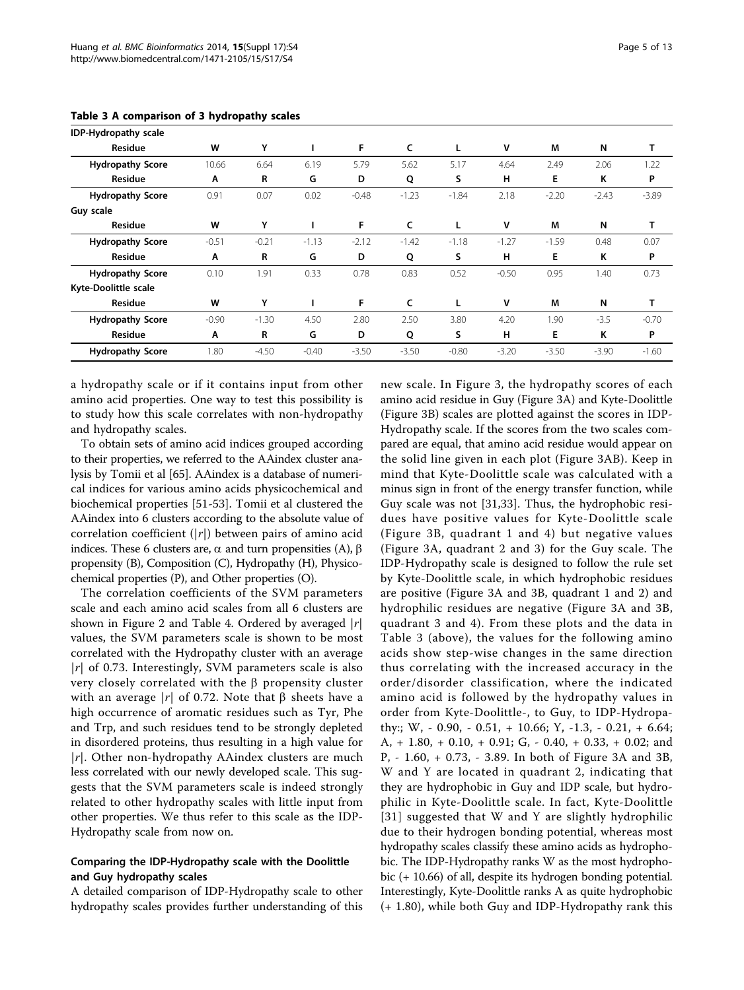| IDP-Hydropathy scale    |         |         |         |         |         |         |         |         |         |         |
|-------------------------|---------|---------|---------|---------|---------|---------|---------|---------|---------|---------|
| Residue                 | W       | Υ       |         | F       | c       | L       | v       | M       | N       | т       |
| <b>Hydropathy Score</b> | 10.66   | 6.64    | 6.19    | 5.79    | 5.62    | 5.17    | 4.64    | 2.49    | 2.06    | 1.22    |
| Residue                 | A       | R       | G       | D       | Q       | S       | н       | E       | Κ       | P       |
| <b>Hydropathy Score</b> | 0.91    | 0.07    | 0.02    | $-0.48$ | $-1.23$ | $-1.84$ | 2.18    | $-2.20$ | $-2.43$ | $-3.89$ |
| Guy scale               |         |         |         |         |         |         |         |         |         |         |
| Residue                 | W       | Υ       |         | F       | c       | L       | v       | M       | N       | т       |
| <b>Hydropathy Score</b> | $-0.51$ | $-0.21$ | $-1.13$ | $-2.12$ | $-1.42$ | $-1.18$ | $-1.27$ | $-1.59$ | 0.48    | 0.07    |
| Residue                 | A       | R       | G       | D       | Q       | S       | н       | Е       | Κ       | P       |
| <b>Hydropathy Score</b> | 0.10    | 1.91    | 0.33    | 0.78    | 0.83    | 0.52    | $-0.50$ | 0.95    | 1.40    | 0.73    |
| Kyte-Doolittle scale    |         |         |         |         |         |         |         |         |         |         |
| Residue                 | W       | Y       |         | F       | c       | L       | ٧       | М       | N       |         |
| <b>Hydropathy Score</b> | $-0.90$ | $-1.30$ | 4.50    | 2.80    | 2.50    | 3.80    | 4.20    | 1.90    | $-3.5$  | $-0.70$ |
| Residue                 | Α       | R       | G       | D       | Q       | S       | н       | E       | κ       | P       |
| <b>Hydropathy Score</b> | 1.80    | $-4.50$ | $-0.40$ | $-3.50$ | $-3.50$ | $-0.80$ | $-3.20$ | $-3.50$ | $-3.90$ | $-1.60$ |

<span id="page-4-0"></span>Table 3 A comparison of 3 hydropathy scales

a hydropathy scale or if it contains input from other amino acid properties. One way to test this possibility is to study how this scale correlates with non-hydropathy and hydropathy scales.

To obtain sets of amino acid indices grouped according to their properties, we referred to the AAindex cluster analysis by Tomii et al [\[65](#page-11-0)]. AAindex is a database of numerical indices for various amino acids physicochemical and biochemical properties [[51-53](#page-11-0)]. Tomii et al clustered the AAindex into 6 clusters according to the absolute value of correlation coefficient  $(|r|)$  between pairs of amino acid indices. These 6 clusters are,  $\alpha$  and turn propensities (A),  $\beta$ propensity (B), Composition (C), Hydropathy (H), Physicochemical properties (P), and Other properties (O).

The correlation coefficients of the SVM parameters scale and each amino acid scales from all 6 clusters are shown in Figure [2](#page-5-0) and Table [4](#page-5-0). Ordered by averaged  $|r|$ values, the SVM parameters scale is shown to be most correlated with the Hydropathy cluster with an average  $|r|$  of 0.73. Interestingly, SVM parameters scale is also very closely correlated with the  $\beta$  propensity cluster with an average |r| of 0.72. Note that  $\beta$  sheets have a high occurrence of aromatic residues such as Tyr, Phe and Trp, and such residues tend to be strongly depleted in disordered proteins, thus resulting in a high value for  $|r|$ . Other non-hydropathy AAindex clusters are much less correlated with our newly developed scale. This suggests that the SVM parameters scale is indeed strongly related to other hydropathy scales with little input from other properties. We thus refer to this scale as the IDP-Hydropathy scale from now on.

## Comparing the IDP-Hydropathy scale with the Doolittle and Guy hydropathy scales

A detailed comparison of IDP-Hydropathy scale to other hydropathy scales provides further understanding of this

new scale. In Figure [3](#page-6-0), the hydropathy scores of each amino acid residue in Guy (Figure [3A\)](#page-6-0) and Kyte-Doolittle (Figure [3B](#page-6-0)) scales are plotted against the scores in IDP-Hydropathy scale. If the scores from the two scales compared are equal, that amino acid residue would appear on the solid line given in each plot (Figure [3AB\)](#page-6-0). Keep in mind that Kyte-Doolittle scale was calculated with a minus sign in front of the energy transfer function, while Guy scale was not [[31,33](#page-11-0)]. Thus, the hydrophobic residues have positive values for Kyte-Doolittle scale (Figure [3B,](#page-6-0) quadrant 1 and 4) but negative values (Figure [3A](#page-6-0), quadrant 2 and 3) for the Guy scale. The IDP-Hydropathy scale is designed to follow the rule set by Kyte-Doolittle scale, in which hydrophobic residues are positive (Figure [3A](#page-6-0) and [3B](#page-6-0), quadrant 1 and 2) and hydrophilic residues are negative (Figure [3A](#page-6-0) and [3B](#page-6-0), quadrant 3 and 4). From these plots and the data in Table 3 (above), the values for the following amino acids show step-wise changes in the same direction thus correlating with the increased accuracy in the order/disorder classification, where the indicated amino acid is followed by the hydropathy values in order from Kyte-Doolittle-, to Guy, to IDP-Hydropathy:; W, - 0.90, - 0.51, + 10.66; Y, -1.3, - 0.21, + 6.64; A, + 1.80, + 0.10, + 0.91; G, - 0.40, + 0.33, + 0.02; and P, - 1.60, + 0.73, - 3.89. In both of Figure [3A](#page-6-0) and [3B](#page-6-0), W and Y are located in quadrant 2, indicating that they are hydrophobic in Guy and IDP scale, but hydrophilic in Kyte-Doolittle scale. In fact, Kyte-Doolittle [[31\]](#page-11-0) suggested that W and Y are slightly hydrophilic due to their hydrogen bonding potential, whereas most hydropathy scales classify these amino acids as hydrophobic. The IDP-Hydropathy ranks W as the most hydrophobic (+ 10.66) of all, despite its hydrogen bonding potential. Interestingly, Kyte-Doolittle ranks A as quite hydrophobic (+ 1.80), while both Guy and IDP-Hydropathy rank this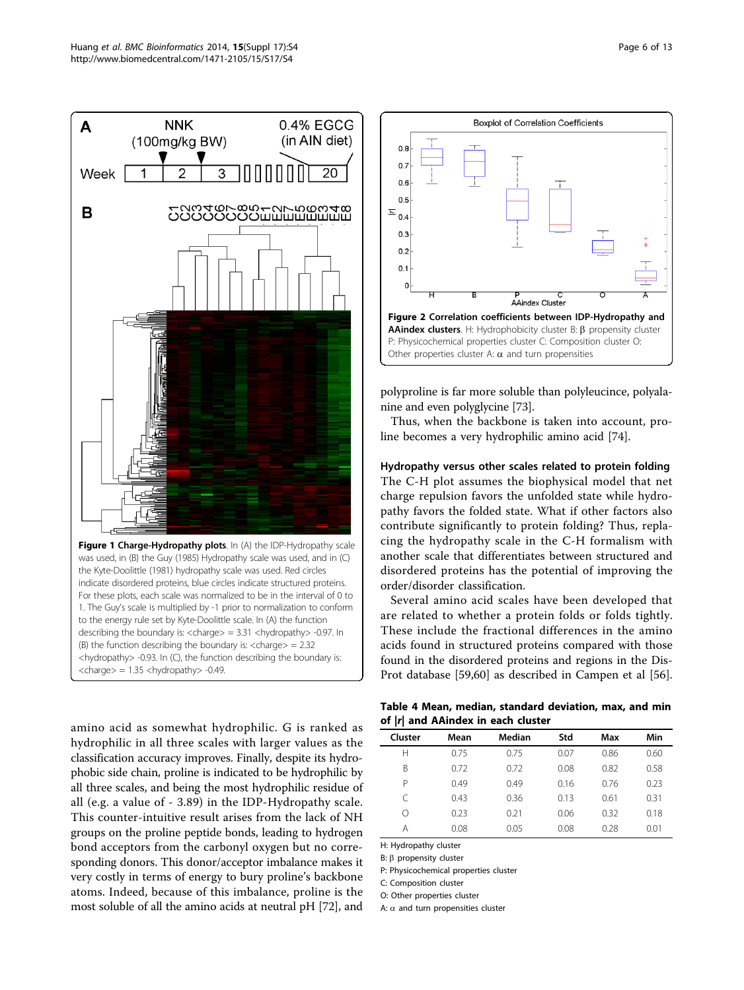<span id="page-5-0"></span>

1. The Guy's scale is multiplied by -1 prior to normalization to conform to the energy rule set by Kyte-Doolittle scale. In (A) the function describing the boundary is: <charge> = 3.31 <hydropathy> -0.97. In (B) the function describing the boundary is:  $\langle$ charge $\rangle$  = 2.32 <hydropathy> -0.93. In (C), the function describing the boundary is:  $<$ charge $>$  = 1.35  $<$ hydropathy $>$  -0.49.

amino acid as somewhat hydrophilic. G is ranked as hydrophilic in all three scales with larger values as the classification accuracy improves. Finally, despite its hydrophobic side chain, proline is indicated to be hydrophilic by all three scales, and being the most hydrophilic residue of all (e.g. a value of - 3.89) in the IDP-Hydropathy scale. This counter-intuitive result arises from the lack of NH groups on the proline peptide bonds, leading to hydrogen bond acceptors from the carbonyl oxygen but no corresponding donors. This donor/acceptor imbalance makes it very costly in terms of energy to bury proline's backbone atoms. Indeed, because of this imbalance, proline is the most soluble of all the amino acids at neutral pH [\[72\]](#page-12-0), and



polyproline is far more soluble than polyleucince, polyalanine and even polyglycine [\[73\]](#page-12-0).

Thus, when the backbone is taken into account, proline becomes a very hydrophilic amino acid [[74\]](#page-12-0).

## Hydropathy versus other scales related to protein folding The C-H plot assumes the biophysical model that net charge repulsion favors the unfolded state while hydropathy favors the folded state. What if other factors also contribute significantly to protein folding? Thus, replacing the hydropathy scale in the C-H formalism with another scale that differentiates between structured and disordered proteins has the potential of improving the order/disorder classification.

Several amino acid scales have been developed that are related to whether a protein folds or folds tightly. These include the fractional differences in the amino acids found in structured proteins compared with those found in the disordered proteins and regions in the Dis-Prot database [\[59,60](#page-11-0)] as described in Campen et al [\[56](#page-11-0)].

Table 4 Mean, median, standard deviation, max, and min of |r| and AAindex in each cluster

| . .     |      |        |      |      |      |
|---------|------|--------|------|------|------|
| Cluster | Mean | Median | Std  | Max  | Min  |
| Н       | 0.75 | 0.75   | 0.07 | 0.86 | 0.60 |
| B       | 0.72 | 0.72   | 0.08 | 0.82 | 0.58 |
| Ρ       | 0.49 | 0.49   | 0.16 | 0.76 | 0.23 |
| C       | 0.43 | 0.36   | 0.13 | 0.61 | 0.31 |
| Ω       | 0.23 | 0.21   | 0.06 | 0.32 | 0.18 |
| Α       | 0.08 | 0.05   | 0.08 | 0.28 | 0.01 |
|         |      |        |      |      |      |

H: Hydropathy cluster

B:  $\beta$  propensity cluster

P: Physicochemical properties cluster

C: Composition cluster

O: Other properties cluster

A:  $\alpha$  and turn propensities cluster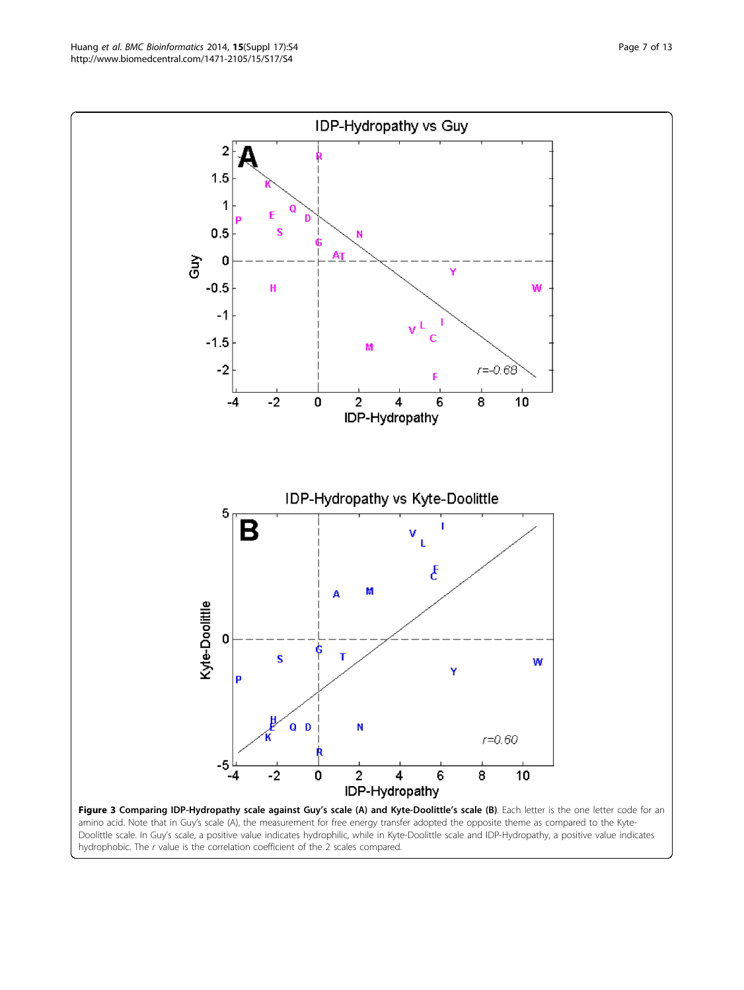Figure 3 Comparing IDP-Hydropathy scale against Guy's scale (A) and Kyte-Doolittle's scale (B). Each letter is the one letter code for an amino acid. Note that in Guy's scale (A), the measurement for free energy transfer adopted the opposite theme as compared to the Kyte-Doolittle scale. In Guy's scale, a positive value indicates hydrophilic, while in Kyte-Doolittle scale and IDP-Hydropathy, a positive value indicates hydrophobic. The r value is the correlation coefficient of the 2 scales compared.

Kyte-Doolittle 0 S т W Ÿ D  $Q$   $D$ N  $r = 0.60$  $-5$  $\overline{2}$  $\overline{\mathbf{4}}$  $-4$ -2 0 6 8 10 IDP-Hydropathy

<span id="page-6-0"></span>http://www.biomedcentral.com/1471-2105/15/S17/S4

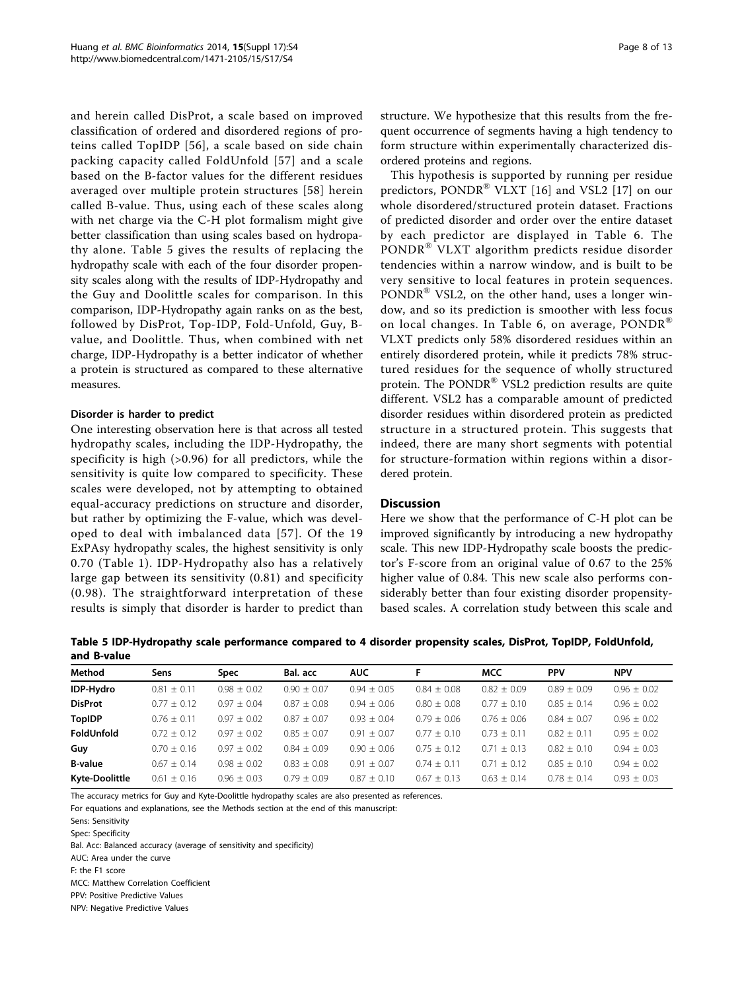and herein called DisProt, a scale based on improved classification of ordered and disordered regions of proteins called TopIDP [\[56\]](#page-11-0), a scale based on side chain packing capacity called FoldUnfold [[57](#page-11-0)] and a scale based on the B-factor values for the different residues averaged over multiple protein structures [[58](#page-11-0)] herein called B-value. Thus, using each of these scales along with net charge via the C-H plot formalism might give better classification than using scales based on hydropathy alone. Table 5 gives the results of replacing the hydropathy scale with each of the four disorder propensity scales along with the results of IDP-Hydropathy and the Guy and Doolittle scales for comparison. In this comparison, IDP-Hydropathy again ranks on as the best, followed by DisProt, Top-IDP, Fold-Unfold, Guy, Bvalue, and Doolittle. Thus, when combined with net charge, IDP-Hydropathy is a better indicator of whether a protein is structured as compared to these alternative measures.

#### Disorder is harder to predict

One interesting observation here is that across all tested hydropathy scales, including the IDP-Hydropathy, the specificity is high (>0.96) for all predictors, while the sensitivity is quite low compared to specificity. These scales were developed, not by attempting to obtained equal-accuracy predictions on structure and disorder, but rather by optimizing the F-value, which was developed to deal with imbalanced data [[57\]](#page-11-0). Of the 19 ExPAsy hydropathy scales, the highest sensitivity is only 0.70 (Table [1](#page-2-0)). IDP-Hydropathy also has a relatively large gap between its sensitivity (0.81) and specificity (0.98). The straightforward interpretation of these results is simply that disorder is harder to predict than structure. We hypothesize that this results from the frequent occurrence of segments having a high tendency to form structure within experimentally characterized disordered proteins and regions.

This hypothesis is supported by running per residue predictors, PONDR<sup>®</sup> VLXT [[16\]](#page-10-0) and VSL2 [\[17](#page-10-0)] on our whole disordered/structured protein dataset. Fractions of predicted disorder and order over the entire dataset by each predictor are displayed in Table [6](#page-8-0). The PONDR® VLXT algorithm predicts residue disorder tendencies within a narrow window, and is built to be very sensitive to local features in protein sequences. PONDR<sup>®</sup> VSL2, on the other hand, uses a longer window, and so its prediction is smoother with less focus on local changes. In Table [6](#page-8-0), on average,  $PONDR^{\otimes}$ VLXT predicts only 58% disordered residues within an entirely disordered protein, while it predicts 78% structured residues for the sequence of wholly structured protein. The PONDR® VSL2 prediction results are quite different. VSL2 has a comparable amount of predicted disorder residues within disordered protein as predicted structure in a structured protein. This suggests that indeed, there are many short segments with potential for structure-formation within regions within a disordered protein.

## **Discussion**

Here we show that the performance of C-H plot can be improved significantly by introducing a new hydropathy scale. This new IDP-Hydropathy scale boosts the predictor's F-score from an original value of 0.67 to the 25% higher value of 0.84. This new scale also performs considerably better than four existing disorder propensitybased scales. A correlation study between this scale and

Table 5 IDP-Hydropathy scale performance compared to 4 disorder propensity scales, DisProt, TopIDP, FoldUnfold, and B-value

| Method                | Sens            | Spec            | Bal. acc        | <b>AUC</b>      |               | <b>MCC</b>    | <b>PPV</b>    | <b>NPV</b>      |  |
|-----------------------|-----------------|-----------------|-----------------|-----------------|---------------|---------------|---------------|-----------------|--|
| IDP-Hydro             | $0.81 \pm 0.11$ | $0.98 \pm 0.02$ | $0.90 + 0.07$   | $0.94 + 0.05$   | $0.84 + 0.08$ | $0.82 + 0.09$ | $0.89 + 0.09$ | $0.96 + 0.02$   |  |
| <b>DisProt</b>        | $0.77 \pm 0.12$ | $0.97 + 0.04$   | $0.87 + 0.08$   | $0.94 + 0.06$   | $0.80 + 0.08$ | $0.77 + 0.10$ | $0.85 + 0.14$ | $0.96 + 0.02$   |  |
| <b>TopIDP</b>         | $0.76 + 0.11$   | $0.97 \pm 0.02$ | $0.87 + 0.07$   | $0.93 + 0.04$   | $0.79 + 0.06$ | $0.76 + 0.06$ | $0.84 + 0.07$ | $0.96 \pm 0.02$ |  |
| FoldUnfold            | $0.72 + 0.12$   | $0.97 + 0.02$   | $0.85 \pm 0.07$ | $0.91 \pm 0.07$ | $0.77 + 0.10$ | $0.73 + 0.11$ | $0.82 + 0.11$ | $0.95 + 0.02$   |  |
| Guy                   | $0.70 + 0.16$   | $0.97 \pm 0.02$ | $0.84 \pm 0.09$ | $0.90 \pm 0.06$ | $0.75 + 0.12$ | $0.71 + 0.13$ | $0.82 + 0.10$ | $0.94 + 0.03$   |  |
| <b>B-value</b>        | $0.67 + 0.14$   | $0.98 + 0.02$   | $0.83 \pm 0.08$ | $0.91 + 0.07$   | $0.74 + 0.11$ | $0.71 + 0.12$ | $0.85 + 0.10$ | $0.94 + 0.02$   |  |
| <b>Kyte-Doolittle</b> | $0.61 + 0.16$   | $0.96 + 0.03$   | $0.79 + 0.09$   | $0.87 \pm 0.10$ | $0.67 + 0.13$ | $0.63 + 0.14$ | $0.78 + 0.14$ | $0.93 + 0.03$   |  |
|                       |                 |                 |                 |                 |               |               |               |                 |  |

The accuracy metrics for Guy and Kyte-Doolittle hydropathy scales are also presented as references.

For equations and explanations, see the Methods section at the end of this manuscript:

Bal. Acc: Balanced accuracy (average of sensitivity and specificity)

AUC: Area under the curve

F: the F1 score

MCC: Matthew Correlation Coefficient

PPV: Positive Predictive Values

NPV: Negative Predictive Values

Sens: Sensitivity

Spec: Specificity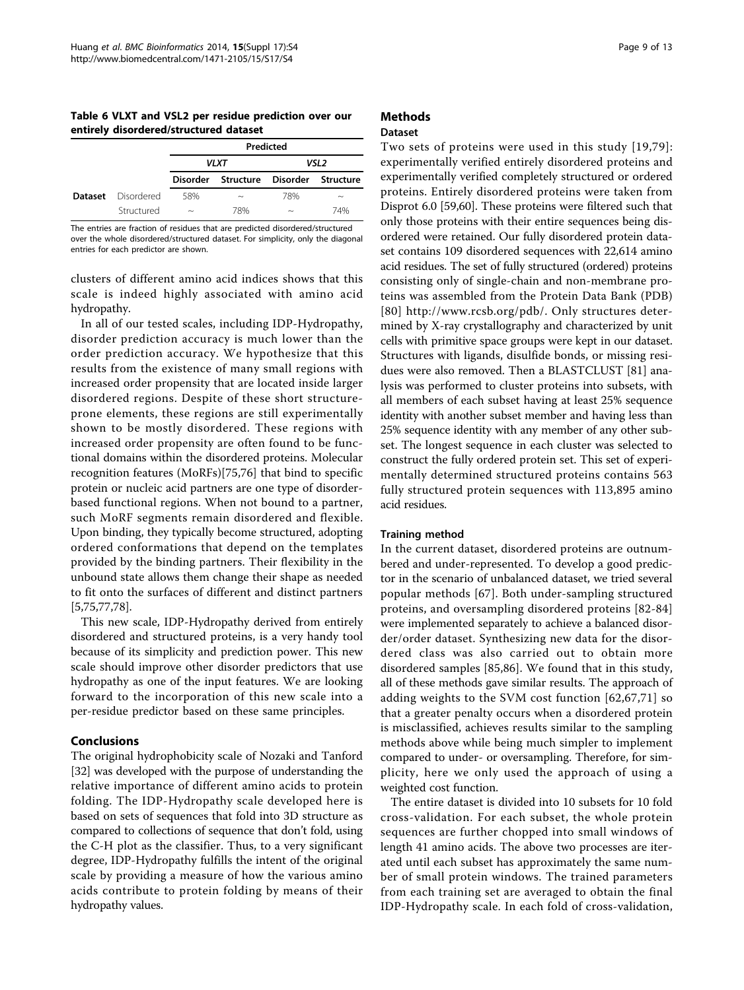<span id="page-8-0"></span>Table 6 VLXT and VSL2 per residue prediction over our entirely disordered/structured dataset

|                |            | Predicted                 |                                       |                           |                           |  |  |
|----------------|------------|---------------------------|---------------------------------------|---------------------------|---------------------------|--|--|
|                |            |                           | VLXT                                  | VSL2                      |                           |  |  |
|                |            |                           | Disorder Structure Disorder Structure |                           |                           |  |  |
| <b>Dataset</b> | Disordered | 58%                       | $\widetilde{\phantom{m}}$             | 78%                       | $\widetilde{\phantom{m}}$ |  |  |
|                | Structured | $\widetilde{\phantom{m}}$ | 78%                                   | $\widetilde{\phantom{m}}$ | 74%                       |  |  |

The entries are fraction of residues that are predicted disordered/structured over the whole disordered/structured dataset. For simplicity, only the diagonal entries for each predictor are shown.

clusters of different amino acid indices shows that this scale is indeed highly associated with amino acid hydropathy.

In all of our tested scales, including IDP-Hydropathy, disorder prediction accuracy is much lower than the order prediction accuracy. We hypothesize that this results from the existence of many small regions with increased order propensity that are located inside larger disordered regions. Despite of these short structureprone elements, these regions are still experimentally shown to be mostly disordered. These regions with increased order propensity are often found to be functional domains within the disordered proteins. Molecular recognition features (MoRFs)[[75](#page-12-0),[76\]](#page-12-0) that bind to specific protein or nucleic acid partners are one type of disorderbased functional regions. When not bound to a partner, such MoRF segments remain disordered and flexible. Upon binding, they typically become structured, adopting ordered conformations that depend on the templates provided by the binding partners. Their flexibility in the unbound state allows them change their shape as needed to fit onto the surfaces of different and distinct partners [[5,](#page-10-0)[75,77](#page-12-0),[78](#page-12-0)].

This new scale, IDP-Hydropathy derived from entirely disordered and structured proteins, is a very handy tool because of its simplicity and prediction power. This new scale should improve other disorder predictors that use hydropathy as one of the input features. We are looking forward to the incorporation of this new scale into a per-residue predictor based on these same principles.

## Conclusions

The original hydrophobicity scale of Nozaki and Tanford [[32](#page-11-0)] was developed with the purpose of understanding the relative importance of different amino acids to protein folding. The IDP-Hydropathy scale developed here is based on sets of sequences that fold into 3D structure as compared to collections of sequence that don't fold, using the C-H plot as the classifier. Thus, to a very significant degree, IDP-Hydropathy fulfills the intent of the original scale by providing a measure of how the various amino acids contribute to protein folding by means of their hydropathy values.

## Methods

## Dataset

Two sets of proteins were used in this study [[19,](#page-11-0)[79\]](#page-12-0): experimentally verified entirely disordered proteins and experimentally verified completely structured or ordered proteins. Entirely disordered proteins were taken from Disprot 6.0 [[59,60](#page-11-0)]. These proteins were filtered such that only those proteins with their entire sequences being disordered were retained. Our fully disordered protein dataset contains 109 disordered sequences with 22,614 amino acid residues. The set of fully structured (ordered) proteins consisting only of single-chain and non-membrane proteins was assembled from the Protein Data Bank (PDB) [[80\]](#page-12-0)<http://www.rcsb.org/pdb/>. Only structures determined by X-ray crystallography and characterized by unit cells with primitive space groups were kept in our dataset. Structures with ligands, disulfide bonds, or missing residues were also removed. Then a BLASTCLUST [\[81\]](#page-12-0) analysis was performed to cluster proteins into subsets, with all members of each subset having at least 25% sequence identity with another subset member and having less than 25% sequence identity with any member of any other subset. The longest sequence in each cluster was selected to construct the fully ordered protein set. This set of experimentally determined structured proteins contains 563 fully structured protein sequences with 113,895 amino acid residues.

## Training method

In the current dataset, disordered proteins are outnumbered and under-represented. To develop a good predictor in the scenario of unbalanced dataset, we tried several popular methods [[67](#page-11-0)]. Both under-sampling structured proteins, and oversampling disordered proteins [\[82-84](#page-12-0)] were implemented separately to achieve a balanced disorder/order dataset. Synthesizing new data for the disordered class was also carried out to obtain more disordered samples [[85,86\]](#page-12-0). We found that in this study, all of these methods gave similar results. The approach of adding weights to the SVM cost function [[62,67](#page-11-0),[71](#page-11-0)] so that a greater penalty occurs when a disordered protein is misclassified, achieves results similar to the sampling methods above while being much simpler to implement compared to under- or oversampling. Therefore, for simplicity, here we only used the approach of using a weighted cost function.

The entire dataset is divided into 10 subsets for 10 fold cross-validation. For each subset, the whole protein sequences are further chopped into small windows of length 41 amino acids. The above two processes are iterated until each subset has approximately the same number of small protein windows. The trained parameters from each training set are averaged to obtain the final IDP-Hydropathy scale. In each fold of cross-validation,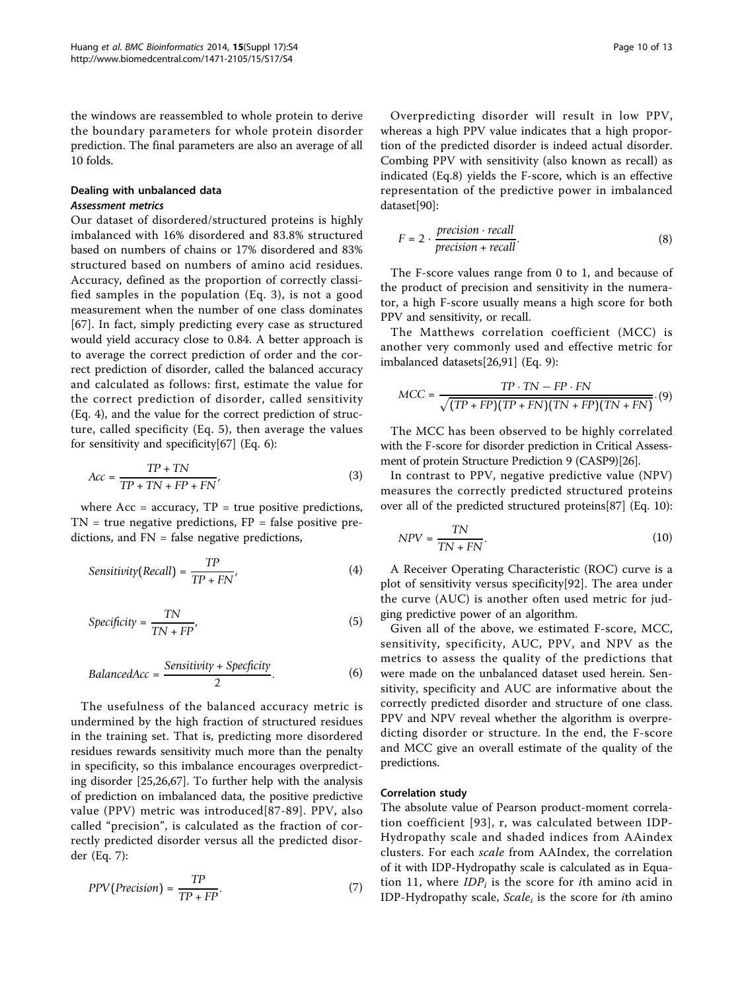the windows are reassembled to whole protein to derive the boundary parameters for whole protein disorder prediction. The final parameters are also an average of all 10 folds.

### Dealing with unbalanced data Assessment metrics

Our dataset of disordered/structured proteins is highly imbalanced with 16% disordered and 83.8% structured based on numbers of chains or 17% disordered and 83% structured based on numbers of amino acid residues. Accuracy, defined as the proportion of correctly classified samples in the population (Eq. 3), is not a good measurement when the number of one class dominates [[67](#page-11-0)]. In fact, simply predicting every case as structured would yield accuracy close to 0.84. A better approach is to average the correct prediction of order and the correct prediction of disorder, called the balanced accuracy and calculated as follows: first, estimate the value for the correct prediction of disorder, called sensitivity (Eq. 4), and the value for the correct prediction of structure, called specificity (Eq. 5), then average the values for sensitivity and specificity[\[67](#page-11-0)] (Eq. 6):

$$
Acc = \frac{TP + TN}{TP + TN + FP + FN'},
$$
\n(3)

where  $Acc = accuracy$ ,  $TP = true$  positive predictions,  $TN = true$  negative predictions,  $FP = false$  positive predictions, and FN = false negative predictions,

$$
Sensitivity(Recall) = \frac{TP}{TP + FN'},
$$
 (4)

$$
Specificity = \frac{TN}{TN + FP'},
$$
\n(5)

$$
Balanced Acc = \frac{Sensitivity + Specificity}{2}.
$$
 (6)

The usefulness of the balanced accuracy metric is undermined by the high fraction of structured residues in the training set. That is, predicting more disordered residues rewards sensitivity much more than the penalty in specificity, so this imbalance encourages overpredicting disorder [[25](#page-11-0),[26,67](#page-11-0)]. To further help with the analysis of prediction on imbalanced data, the positive predictive value (PPV) metric was introduced[[87](#page-12-0)-[89](#page-12-0)]. PPV, also called "precision", is calculated as the fraction of correctly predicted disorder versus all the predicted disorder (Eq. 7):

$$
PPV(Precision) = \frac{TP}{TP + FP}.
$$
 (7)

Overpredicting disorder will result in low PPV, whereas a high PPV value indicates that a high proportion of the predicted disorder is indeed actual disorder. Combing PPV with sensitivity (also known as recall) as indicated (Eq.8) yields the F-score, which is an effective representation of the predictive power in imbalanced dataset[\[90](#page-12-0)]:

$$
F = 2 \cdot \frac{precision \cdot recall}{precision + recall}.
$$
 (8)

The F-score values range from 0 to 1, and because of the product of precision and sensitivity in the numerator, a high F-score usually means a high score for both PPV and sensitivity, or recall.

The Matthews correlation coefficient (MCC) is another very commonly used and effective metric for imbalanced datasets[[26](#page-11-0),[91](#page-12-0)] (Eq. 9):

$$
MCC = \frac{TP \cdot TN - FP \cdot FN}{\sqrt{(TP + FP)(TP + FN)(TN + FP)(TN + FN)}}. (9)
$$

The MCC has been observed to be highly correlated with the F-score for disorder prediction in Critical Assessment of protein Structure Prediction 9 (CASP9)[\[26](#page-11-0)].

In contrast to PPV, negative predictive value (NPV) measures the correctly predicted structured proteins over all of the predicted structured proteins[\[87\]](#page-12-0) (Eq. 10):

$$
NPV = \frac{TN}{TN + FN}.\tag{10}
$$

A Receiver Operating Characteristic (ROC) curve is a plot of sensitivity versus specificity[[92\]](#page-12-0). The area under the curve (AUC) is another often used metric for judging predictive power of an algorithm.

Given all of the above, we estimated F-score, MCC, sensitivity, specificity, AUC, PPV, and NPV as the metrics to assess the quality of the predictions that were made on the unbalanced dataset used herein. Sensitivity, specificity and AUC are informative about the correctly predicted disorder and structure of one class. PPV and NPV reveal whether the algorithm is overpredicting disorder or structure. In the end, the F-score and MCC give an overall estimate of the quality of the predictions.

#### Correlation study

The absolute value of Pearson product-moment correlation coefficient [[93](#page-12-0)], r, was calculated between IDP-Hydropathy scale and shaded indices from AAindex clusters. For each scale from AAIndex, the correlation of it with IDP-Hydropathy scale is calculated as in Equation 11, where  $IDP_i$  is the score for *i*th amino acid in IDP-Hydropathy scale,  $Scale<sub>i</sub>$  is the score for *i*th amino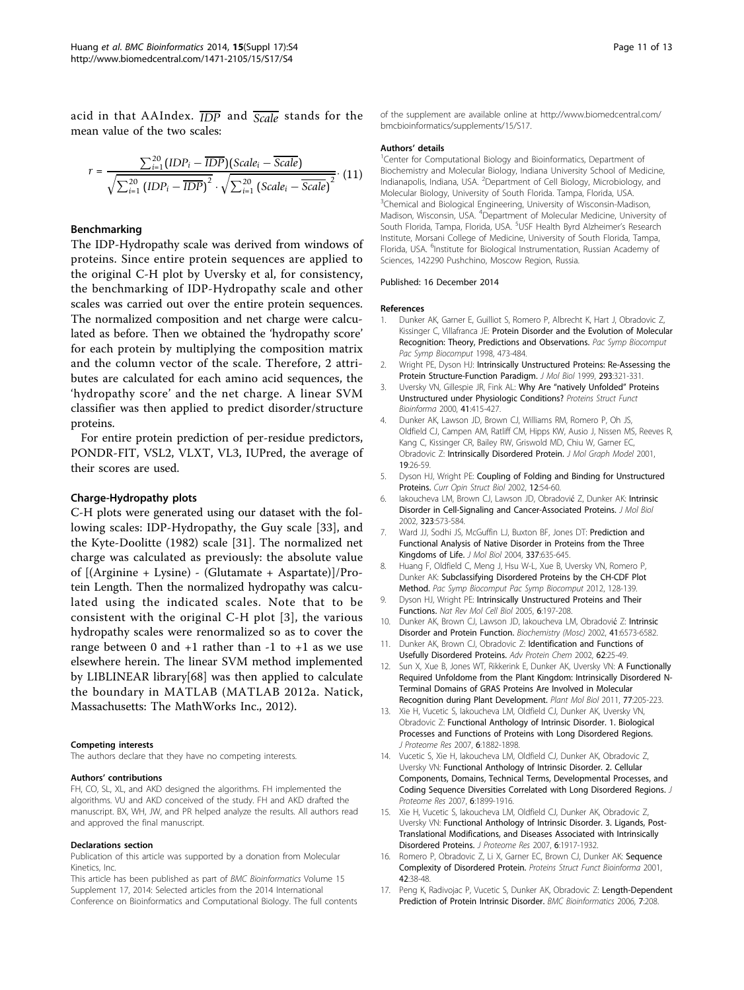<span id="page-10-0"></span>acid in that AAIndex. *IDP* and *Scale* stands for the mean value of the two scales:

$$
r = \frac{\sum_{i=1}^{20} (IDP_i - \overline{IDP})(Scale_i - \overline{Scale})}{\sqrt{\sum_{i=1}^{20} (IDP_i - \overline{IDP})^2} \cdot \sqrt{\sum_{i=1}^{20} (Scale_i - \overline{Scale})^2}}. (11)
$$

#### Benchmarking

The IDP-Hydropathy scale was derived from windows of proteins. Since entire protein sequences are applied to the original C-H plot by Uversky et al, for consistency, the benchmarking of IDP-Hydropathy scale and other scales was carried out over the entire protein sequences. The normalized composition and net charge were calculated as before. Then we obtained the 'hydropathy score' for each protein by multiplying the composition matrix and the column vector of the scale. Therefore, 2 attributes are calculated for each amino acid sequences, the 'hydropathy score' and the net charge. A linear SVM classifier was then applied to predict disorder/structure proteins.

For entire protein prediction of per-residue predictors, PONDR-FIT, VSL2, VLXT, VL3, IUPred, the average of their scores are used.

## Charge-Hydropathy plots

C-H plots were generated using our dataset with the following scales: IDP-Hydropathy, the Guy scale [\[33](#page-11-0)], and the Kyte-Doolitte (1982) scale [[31\]](#page-11-0). The normalized net charge was calculated as previously: the absolute value of [(Arginine + Lysine) - (Glutamate + Aspartate)]/Protein Length. Then the normalized hydropathy was calculated using the indicated scales. Note that to be consistent with the original C-H plot [3], the various hydropathy scales were renormalized so as to cover the range between 0 and  $+1$  rather than  $-1$  to  $+1$  as we use elsewhere herein. The linear SVM method implemented by LIBLINEAR library[[68\]](#page-11-0) was then applied to calculate the boundary in MATLAB (MATLAB 2012a. Natick, Massachusetts: The MathWorks Inc., 2012).

#### Competing interests

The authors declare that they have no competing interests.

#### Authors' contributions

FH, CO, SL, XL, and AKD designed the algorithms. FH implemented the algorithms. VU and AKD conceived of the study. FH and AKD drafted the manuscript. BX, WH, JW, and PR helped analyze the results. All authors read and approved the final manuscript.

#### Declarations section

Publication of this article was supported by a donation from Molecular Kinetics, Inc.

This article has been published as part of BMC Bioinformatics Volume 15 Supplement 17, 2014: Selected articles from the 2014 International Conference on Bioinformatics and Computational Biology. The full contents

#### Authors' details <sup>1</sup>

<sup>1</sup>Center for Computational Biology and Bioinformatics, Department of Biochemistry and Molecular Biology, Indiana University School of Medicine, Indianapolis, Indiana, USA. <sup>2</sup>Department of Cell Biology, Microbiology, and Molecular Biology, University of South Florida. Tampa, Florida, USA. <sup>3</sup>Chemical and Biological Engineering, University of Wisconsin-Madison, Madison, Wisconsin, USA. <sup>4</sup> Department of Molecular Medicine, University of South Florida, Tampa, Florida, USA. <sup>5</sup>USF Health Byrd Alzheimer's Research Institute, Morsani College of Medicine, University of South Florida, Tampa, Florida, USA. <sup>6</sup>Institute for Biological Instrumentation, Russian Academy of Sciences, 142290 Pushchino, Moscow Region, Russia.

#### Published: 16 December 2014

#### References

- 1. Dunker AK, Garner E, Guilliot S, Romero P, Albrecht K, Hart J, Obradovic Z, Kissinger C, Villafranca, JF: Protein Disorder and the Evolution of Molecular Recognition: Theory, Predictions and Observations. Pac Symp Biocomput Pac Symp Biocomput 1998, 473-484.
- 2. Wright PE, Dyson HJ: Intrinsically Unstructured Proteins: Re-Assessing the Protein Structure-Function Paradigm. J Mol Biol 1999, 293:321-331.
- 3. Uversky VN, Gillespie JR, Fink AL: Why Are "natively Unfolded" Proteins Unstructured under Physiologic Conditions? Proteins Struct Funct Bioinforma 2000, 41:415-427.
- 4. Dunker AK, Lawson JD, Brown CJ, Williams RM, Romero P, Oh JS, Oldfield CJ, Campen AM, Ratliff CM, Hipps KW, Ausio J, Nissen MS, Reeves R, Kang C, Kissinger CR, Bailey RW, Griswold MD, Chiu W, Garner EC, Obradovic Z: Intrinsically Disordered Protein. J Mol Graph Model 2001, 19:26-59.
- 5. Dyson HJ, Wright PE: Coupling of Folding and Binding for Unstructured Proteins. Curr Opin Struct Biol 2002, 12:54-60.
- 6. Iakoucheva LM, Brown CJ, Lawson JD, Obradović Z, Dunker AK: Intrinsic Disorder in Cell-Signaling and Cancer-Associated Proteins. J Mol Biol 2002, 323:573-584.
- 7. Ward JJ, Sodhi JS, McGuffin LJ, Buxton BF, Jones DT: Prediction and Functional Analysis of Native Disorder in Proteins from the Three Kingdoms of Life. J Mol Biol 2004, 337:635-645.
- 8. Huang F, Oldfield C, Meng J, Hsu W-L, Xue B, Uversky VN, Romero P, Dunker AK: Subclassifying Disordered Proteins by the CH-CDF Plot Method. Pac Symp Biocomput Pac Symp Biocomput 2012, 128-139.
- 9. Dyson HJ, Wright PE: Intrinsically Unstructured Proteins and Their Functions. Nat Rev Mol Cell Biol 2005, 6:197-208.
- 10. Dunker AK, Brown CJ, Lawson JD, lakoucheva LM, Obradović Z: Intrinsic Disorder and Protein Function. Biochemistry (Mosc) 2002, 41:6573-6582.
- 11. Dunker AK, Brown CJ, Obradovic Z: Identification and Functions of Usefully Disordered Proteins. Adv Protein Chem 2002, 62:25-49.
- Sun X, Xue B, Jones WT, Rikkerink E, Dunker AK, Uversky VN: A Functionally Required Unfoldome from the Plant Kingdom: Intrinsically Disordered N-Terminal Domains of GRAS Proteins Are Involved in Molecular Recognition during Plant Development. Plant Mol Biol 2011, 77:205-223.
- 13. Xie H, Vucetic S, Iakoucheva LM, Oldfield CJ, Dunker AK, Uversky VN, Obradovic Z: Functional Anthology of Intrinsic Disorder. 1. Biological Processes and Functions of Proteins with Long Disordered Regions. J Proteome Res 2007, 6:1882-1898.
- 14. Vucetic S, Xie H, Iakoucheva LM, Oldfield CJ, Dunker AK, Obradovic Z, Uversky VN: Functional Anthology of Intrinsic Disorder. 2. Cellular Components, Domains, Technical Terms, Developmental Processes, and Coding Sequence Diversities Correlated with Long Disordered Regions. J Proteome Res 2007, 6:1899-1916.
- 15. Xie H, Vucetic S, Iakoucheva LM, Oldfield CJ, Dunker AK, Obradovic Z, Uversky VN: Functional Anthology of Intrinsic Disorder. 3. Ligands, Post-Translational Modifications, and Diseases Associated with Intrinsically Disordered Proteins. J Proteome Res 2007, 6:1917-1932.
- 16. Romero P, Obradovic Z, Li X, Garner EC, Brown CJ, Dunker AK: Sequence Complexity of Disordered Protein. Proteins Struct Funct Bioinforma 2001, 42:38-48.
- 17. Peng K, Radivojac P, Vucetic S, Dunker AK, Obradovic Z: Length-Dependent Prediction of Protein Intrinsic Disorder. BMC Bioinformatics 2006, 7:208.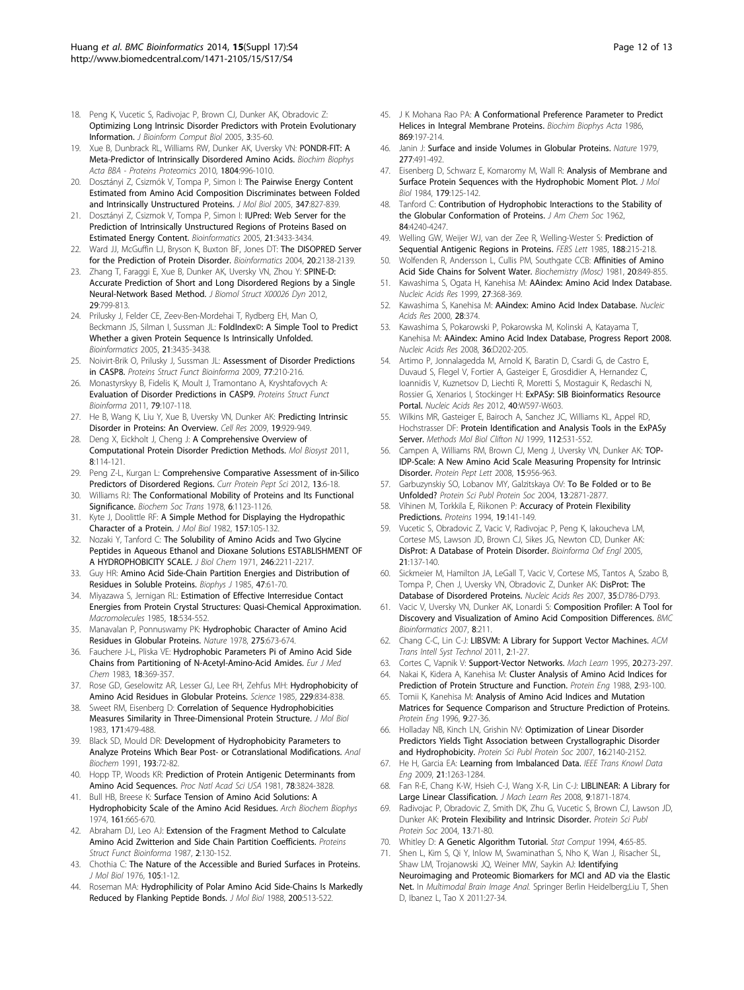- <span id="page-11-0"></span>18. Peng K, Vucetic S, Radivojac P, Brown CJ, Dunker AK, Obradovic Z: Optimizing Long Intrinsic Disorder Predictors with Protein Evolutionary Information. J Bioinform Comput Biol 2005, 3:35-60.
- 19. Xue B, Dunbrack RL, Williams RW, Dunker AK, Uversky VN: PONDR-FIT: A Meta-Predictor of Intrinsically Disordered Amino Acids. Biochim Biophys Acta BBA - Proteins Proteomics 2010, 1804:996-1010.
- 20. Dosztányi Z, Csizmók V, Tompa P, Simon I: The Pairwise Energy Content Estimated from Amino Acid Composition Discriminates between Folded and Intrinsically Unstructured Proteins. J Mol Biol 2005, 347:827-839.
- 21. Dosztányi Z, Csizmok V, Tompa P, Simon I: **IUPred: Web Server for the** Prediction of Intrinsically Unstructured Regions of Proteins Based on Estimated Energy Content. Bioinformatics 2005, 21:3433-3434.
- 22. Ward JJ, McGuffin LJ, Bryson K, Buxton BF, Jones DT: The DISOPRED Server for the Prediction of Protein Disorder. Bioinformatics 2004, 20:2138-2139.
- 23. Zhang T, Faraggi E, Xue B, Dunker AK, Uversky VN, Zhou Y: SPINE-D: Accurate Prediction of Short and Long Disordered Regions by a Single Neural-Network Based Method. J Biomol Struct X00026 Dyn 2012, 29:799-813.
- 24. Prilusky J, Felder CE, Zeev-Ben-Mordehai T, Rydberg EH, Man O, Beckmann JS, Silman I, Sussman JL: FoldIndex©: A Simple Tool to Predict Whether a given Protein Sequence Is Intrinsically Unfolded. Bioinformatics 2005, 21:3435-3438.
- 25. Noivirt-Brik O, Prilusky J, Sussman JL: Assessment of Disorder Predictions in CASP8. Proteins Struct Funct Bioinforma 2009, 77:210-216.
- 26. Monastyrskyy B, Fidelis K, Moult J, Tramontano A, Kryshtafovych A: Evaluation of Disorder Predictions in CASP9. Proteins Struct Funct Bioinforma 2011, 79:107-118.
- 27. He B, Wang K, Liu Y, Xue B, Uversky VN, Dunker AK: Predicting Intrinsic Disorder in Proteins: An Overview. Cell Res 2009, 19:929-949.
- 28. Deng X, Eickholt J, Cheng J: A Comprehensive Overview of Computational Protein Disorder Prediction Methods. Mol Biosyst 2011, 8:114-121.
- 29. Peng Z-L, Kurgan L: Comprehensive Comparative Assessment of in-Silico Predictors of Disordered Regions. Curr Protein Pept Sci 2012, 13:6-18.
- 30. Williams RJ: The Conformational Mobility of Proteins and Its Functional Significance. Biochem Soc Trans 1978, 6:1123-1126.
- 31. Kyte J, Doolittle RF: A Simple Method for Displaying the Hydropathic Character of a Protein. J Mol Biol 1982, 157:105-132.
- 32. Nozaki Y, Tanford C: The Solubility of Amino Acids and Two Glycine Peptides in Aqueous Ethanol and Dioxane Solutions ESTABLISHMENT OF A HYDROPHOBICITY SCALE. J Biol Chem 1971, 246:2211-2217.
- Guy HR: Amino Acid Side-Chain Partition Energies and Distribution of Residues in Soluble Proteins. Biophys J 1985, 47:61-70.
- 34. Miyazawa S, Jernigan RL: Estimation of Effective Interresidue Contact Energies from Protein Crystal Structures: Quasi-Chemical Approximation. Macromolecules 1985, 18:534-552.
- 35. Manavalan P, Ponnuswamy PK: Hydrophobic Character of Amino Acid Residues in Globular Proteins. Nature 1978, 275:673-674.
- 36. Fauchere J-L, Pliska VE: Hydrophobic Parameters Pi of Amino Acid Side Chains from Partitioning of N-Acetyl-Amino-Acid Amides. Eur J Med Chem 1983, 18:369-357.
- 37. Rose GD, Geselowitz AR, Lesser GJ, Lee RH, Zehfus MH: Hydrophobicity of Amino Acid Residues in Globular Proteins. Science 1985, 229:834-838.
- 38. Sweet RM, Eisenberg D: Correlation of Sequence Hydrophobicities Measures Similarity in Three-Dimensional Protein Structure. J Mol Biol 1983, 171:479-488.
- 39. Black SD, Mould DR: Development of Hydrophobicity Parameters to Analyze Proteins Which Bear Post- or Cotranslational Modifications. Anal Biochem 1991, 193:72-82.
- 40. Hopp TP, Woods KR: Prediction of Protein Antigenic Determinants from Amino Acid Sequences. Proc Natl Acad Sci USA 1981, 78:3824-3828.
- 41. Bull HB, Breese K: Surface Tension of Amino Acid Solutions: A Hydrophobicity Scale of the Amino Acid Residues. Arch Biochem Biophys 1974, 161:665-670.
- 42. Abraham DJ, Leo AJ: Extension of the Fragment Method to Calculate Amino Acid Zwitterion and Side Chain Partition Coefficients. Proteins Struct Funct Bioinforma 1987, 2:130-152.
- 43. Chothia C: The Nature of the Accessible and Buried Surfaces in Proteins. J Mol Biol 1976, 105:1-12.
- 44. Roseman MA: Hydrophilicity of Polar Amino Acid Side-Chains Is Markedly Reduced by Flanking Peptide Bonds. J Mol Biol 1988, 200:513-522.
- 45. J K Mohana Rao PA: A Conformational Preference Parameter to Predict Helices in Integral Membrane Proteins. Biochim Biophys Acta 1986, 869:197-214.
- 46. Janin J: Surface and inside Volumes in Globular Proteins. Nature 1979, 277:491-492.
- 47. Eisenberg D, Schwarz E, Komaromy M, Wall R: Analysis of Membrane and Surface Protein Sequences with the Hydrophobic Moment Plot. J Mol Biol 1984, 179:125-142.
- Tanford C: Contribution of Hydrophobic Interactions to the Stability of the Globular Conformation of Proteins. J Am Chem Soc 1962, 84:4240-4247.
- 49. Welling GW, Weijer WJ, van der Zee R, Welling-Wester S: Prediction of Sequential Antigenic Regions in Proteins. FEBS Lett 1985, 188:215-218.
- 50. Wolfenden R, Andersson L, Cullis PM, Southgate CCB: Affinities of Amino Acid Side Chains for Solvent Water. Biochemistry (Mosc) 1981, 20:849-855.
- 51. Kawashima S, Ogata H, Kanehisa M: AAindex: Amino Acid Index Database. Nucleic Acids Res 1999, 27:368-369.
- 52. Kawashima S, Kanehisa M: AAindex: Amino Acid Index Database. Nucleic Acids Res 2000, 28:374.
- 53. Kawashima S, Pokarowski P, Pokarowska M, Kolinski A, Katayama T, Kanehisa M: AAindex: Amino Acid Index Database, Progress Report 2008. Nucleic Acids Res 2008, 36:D202-205.
- 54. Artimo P, Jonnalagedda M, Arnold K, Baratin D, Csardi G, de Castro E, Duvaud S, Flegel V, Fortier A, Gasteiger E, Grosdidier A, Hernandez C, Ioannidis V, Kuznetsov D, Liechti R, Moretti S, Mostaguir K, Redaschi N, Rossier G, Xenarios I, Stockinger H: ExPASy: SIB Bioinformatics Resource Portal. Nucleic Acids Res 2012, 40:W597-W603.
- 55. Wilkins MR, Gasteiger E, Bairoch A, Sanchez JC, Williams KL, Appel RD, Hochstrasser DF: Protein Identification and Analysis Tools in the ExPASy Server. Methods Mol Biol Clifton NJ 1999, 112:531-552.
- 56. Campen A, Williams RM, Brown CJ, Meng J, Uversky VN, Dunker AK: TOP-IDP-Scale: A New Amino Acid Scale Measuring Propensity for Intrinsic Disorder. Protein Pept Lett 2008, 15:956-963.
- 57. Garbuzynskiy SO, Lobanov MY, Galzitskaya OV: To Be Folded or to Be Unfolded? Protein Sci Publ Protein Soc 2004, 13:2871-2877.
- 58. Vihinen M, Torkkila E, Riikonen P: Accuracy of Protein Flexibility Predictions. Proteins 1994, 19:141-149.
- 59. Vucetic S, Obradovic Z, Vacic V, Radivojac P, Peng K, Iakoucheva LM, Cortese MS, Lawson JD, Brown CJ, Sikes JG, Newton CD, Dunker AK: DisProt: A Database of Protein Disorder. Bioinforma Oxf Engl 2005, 21:137-140.
- Sickmeier M, Hamilton JA, LeGall T, Vacic V, Cortese MS, Tantos A, Szabo B, Tompa P, Chen J, Uversky VN, Obradovic Z, Dunker AK: DisProt: The Database of Disordered Proteins. Nucleic Acids Res 2007, 35:D786-D793.
- 61. Vacic V, Uversky VN, Dunker AK, Lonardi S: Composition Profiler: A Tool for Discovery and Visualization of Amino Acid Composition Differences. BMC Bioinformatics 2007, 8:211.
- 62. Chang C-C, Lin C-J: LIBSVM: A Library for Support Vector Machines. ACM Trans Intell Syst Technol 2011, 2:1-27.
- 63. Cortes C, Vapnik V: Support-Vector Networks. Mach Learn 1995, 20:273-297.
- 64. Nakai K, Kidera A, Kanehisa M: Cluster Analysis of Amino Acid Indices for Prediction of Protein Structure and Function. Protein Eng 1988, 2:93-100.
- 65. Tomii K, Kanehisa M: Analysis of Amino Acid Indices and Mutation Matrices for Sequence Comparison and Structure Prediction of Proteins. Protein Eng 1996, 9:27-36.
- 66. Holladay NB, Kinch LN, Grishin NV: Optimization of Linear Disorder Predictors Yields Tight Association between Crystallographic Disorder and Hydrophobicity. Protein Sci Publ Protein Soc 2007, 16:2140-2152
- 67. He H, Garcia EA: Learning from Imbalanced Data. IEEE Trans Knowl Data Eng 2009, 21:1263-1284.
- 68. Fan R-E, Chang K-W, Hsieh C-J, Wang X-R, Lin C-J: LIBLINEAR: A Library for Large Linear Classification. J Mach Learn Res 2008, 9:1871-1874
- 69. Radivojac P, Obradovic Z, Smith DK, Zhu G, Vucetic S, Brown CJ, Lawson JD, Dunker AK: Protein Flexibility and Intrinsic Disorder. Protein Sci Publ Protein Soc 2004, 13:71-80.
- 70. Whitley D: A Genetic Algorithm Tutorial. Stat Comput 1994, 4:65-85.
- 71. Shen L, Kim S, Qi Y, Inlow M, Swaminathan S, Nho K, Wan J, Risacher SL, Shaw LM, Trojanowski JQ, Weiner MW, Saykin AJ: Identifying Neuroimaging and Proteomic Biomarkers for MCI and AD via the Elastic Net. In Multimodal Brain Image Anal. Springer Berlin Heidelberg;Liu T, Shen D, Ibanez L, Tao X 2011:27-34.